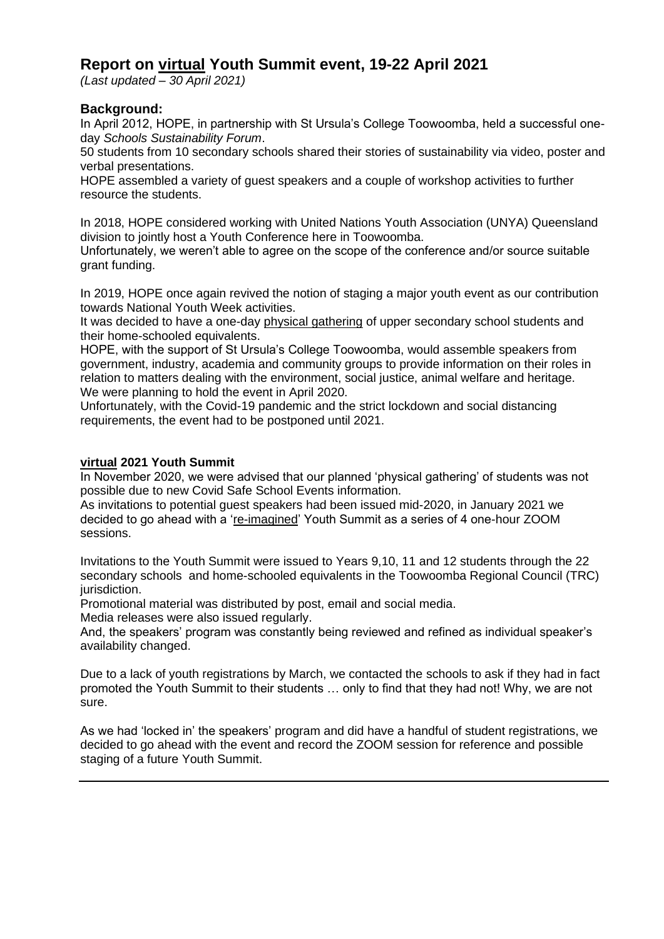# **Report on virtual Youth Summit event, 19-22 April 2021**

*(Last updated – 30 April 2021)*

### **Background:**

In April 2012, HOPE, in partnership with St Ursula's College Toowoomba, held a successful oneday *Schools Sustainability Forum*.

50 students from 10 secondary schools shared their stories of sustainability via video, poster and verbal presentations.

HOPE assembled a variety of guest speakers and a couple of workshop activities to further resource the students.

In 2018, HOPE considered working with United Nations Youth Association (UNYA) Queensland division to jointly host a Youth Conference here in Toowoomba.

Unfortunately, we weren't able to agree on the scope of the conference and/or source suitable grant funding.

In 2019, HOPE once again revived the notion of staging a major youth event as our contribution towards National Youth Week activities.

It was decided to have a one-day physical gathering of upper secondary school students and their home-schooled equivalents.

HOPE, with the support of St Ursula's College Toowoomba, would assemble speakers from government, industry, academia and community groups to provide information on their roles in relation to matters dealing with the environment, social justice, animal welfare and heritage. We were planning to hold the event in April 2020.

Unfortunately, with the Covid-19 pandemic and the strict lockdown and social distancing requirements, the event had to be postponed until 2021.

#### **virtual 2021 Youth Summit**

In November 2020, we were advised that our planned 'physical gathering' of students was not possible due to new Covid Safe School Events information.

As invitations to potential guest speakers had been issued mid-2020, in January 2021 we decided to go ahead with a 're-imagined' Youth Summit as a series of 4 one-hour ZOOM sessions.

Invitations to the Youth Summit were issued to Years 9,10, 11 and 12 students through the 22 secondary schools and home-schooled equivalents in the Toowoomba Regional Council (TRC) jurisdiction.

Promotional material was distributed by post, email and social media.

Media releases were also issued regularly.

And, the speakers' program was constantly being reviewed and refined as individual speaker's availability changed.

Due to a lack of youth registrations by March, we contacted the schools to ask if they had in fact promoted the Youth Summit to their students … only to find that they had not! Why, we are not sure.

As we had 'locked in' the speakers' program and did have a handful of student registrations, we decided to go ahead with the event and record the ZOOM session for reference and possible staging of a future Youth Summit.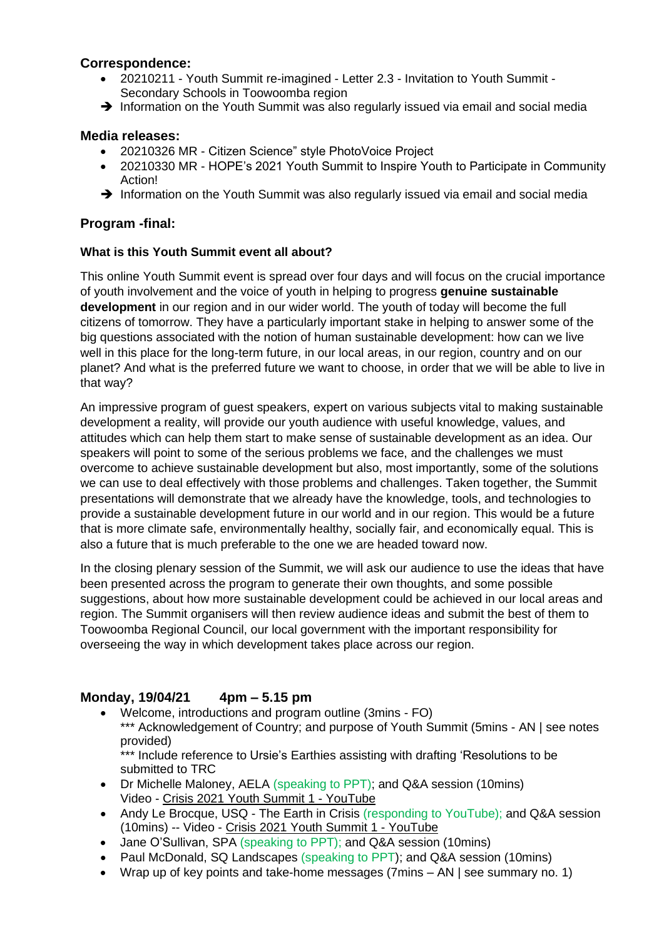### **Correspondence:**

- 20210211 Youth Summit re-imagined Letter 2.3 Invitation to Youth Summit Secondary Schools in Toowoomba region
- → Information on the Youth Summit was also regularly issued via email and social media

#### **Media releases:**

- 20210326 MR Citizen Science" style PhotoVoice Project
- 20210330 MR HOPE's 2021 Youth Summit to Inspire Youth to Participate in Community Action!
- → Information on the Youth Summit was also regularly issued via email and social media

### **Program -final:**

#### **What is this Youth Summit event all about?**

This online Youth Summit event is spread over four days and will focus on the crucial importance of youth involvement and the voice of youth in helping to progress **genuine sustainable development** in our region and in our wider world. The youth of today will become the full citizens of tomorrow. They have a particularly important stake in helping to answer some of the big questions associated with the notion of human sustainable development: how can we live well in this place for the long-term future, in our local areas, in our region, country and on our planet? And what is the preferred future we want to choose, in order that we will be able to live in that way?

An impressive program of guest speakers, expert on various subjects vital to making sustainable development a reality, will provide our youth audience with useful knowledge, values, and attitudes which can help them start to make sense of sustainable development as an idea. Our speakers will point to some of the serious problems we face, and the challenges we must overcome to achieve sustainable development but also, most importantly, some of the solutions we can use to deal effectively with those problems and challenges. Taken together, the Summit presentations will demonstrate that we already have the knowledge, tools, and technologies to provide a sustainable development future in our world and in our region. This would be a future that is more climate safe, environmentally healthy, socially fair, and economically equal. This is also a future that is much preferable to the one we are headed toward now.

In the closing plenary session of the Summit, we will ask our audience to use the ideas that have been presented across the program to generate their own thoughts, and some possible suggestions, about how more sustainable development could be achieved in our local areas and region. The Summit organisers will then review audience ideas and submit the best of them to Toowoomba Regional Council, our local government with the important responsibility for overseeing the way in which development takes place across our region.

# **Monday, 19/04/21 4pm – 5.15 pm**

- Welcome, introductions and program outline (3mins FO)
- \*\*\* Acknowledgement of Country; and purpose of Youth Summit (5mins AN | see notes provided)

\*\*\* Include reference to Ursie's Earthies assisting with drafting 'Resolutions to be submitted to TRC

- Dr Michelle Maloney, AELA (speaking to PPT); and Q&A session (10mins) Video - Crisis 2021 Youth Summit 1 - [YouTube](https://www.youtube.com/watch?v=nsMSIBau7-s)
- Andy Le Brocque, USQ The Earth in Crisis (responding to YouTube); and Q&A session (10mins) -- Video - Crisis 2021 Youth Summit 1 - [YouTube](https://www.youtube.com/watch?v=nsMSIBau7-s)
- Jane O'Sullivan, SPA (speaking to PPT); and Q&A session (10mins)
- Paul McDonald, SQ Landscapes (speaking to PPT); and Q&A session (10mins)
- Wrap up of key points and take-home messages (7mins AN | see summary no. 1)